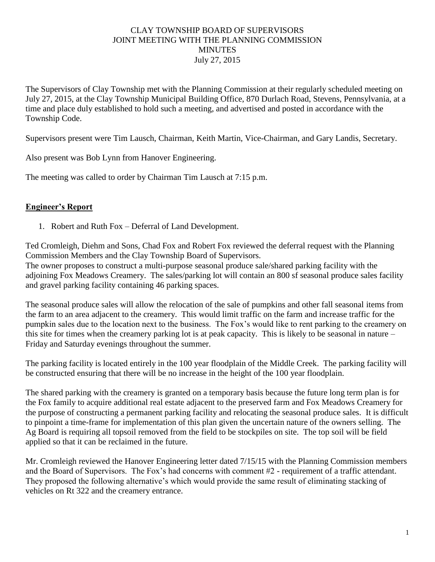## CLAY TOWNSHIP BOARD OF SUPERVISORS JOINT MEETING WITH THE PLANNING COMMISSION MINUTES July 27, 2015

The Supervisors of Clay Township met with the Planning Commission at their regularly scheduled meeting on July 27, 2015, at the Clay Township Municipal Building Office, 870 Durlach Road, Stevens, Pennsylvania, at a time and place duly established to hold such a meeting, and advertised and posted in accordance with the Township Code.

Supervisors present were Tim Lausch, Chairman, Keith Martin, Vice-Chairman, and Gary Landis, Secretary.

Also present was Bob Lynn from Hanover Engineering.

The meeting was called to order by Chairman Tim Lausch at 7:15 p.m.

## **Engineer's Report**

1. Robert and Ruth Fox – Deferral of Land Development.

Ted Cromleigh, Diehm and Sons, Chad Fox and Robert Fox reviewed the deferral request with the Planning Commission Members and the Clay Township Board of Supervisors. The owner proposes to construct a multi-purpose seasonal produce sale/shared parking facility with the adjoining Fox Meadows Creamery. The sales/parking lot will contain an 800 sf seasonal produce sales facility and gravel parking facility containing 46 parking spaces.

The seasonal produce sales will allow the relocation of the sale of pumpkins and other fall seasonal items from the farm to an area adjacent to the creamery. This would limit traffic on the farm and increase traffic for the pumpkin sales due to the location next to the business. The Fox's would like to rent parking to the creamery on this site for times when the creamery parking lot is at peak capacity. This is likely to be seasonal in nature – Friday and Saturday evenings throughout the summer.

The parking facility is located entirely in the 100 year floodplain of the Middle Creek. The parking facility will be constructed ensuring that there will be no increase in the height of the 100 year floodplain.

The shared parking with the creamery is granted on a temporary basis because the future long term plan is for the Fox family to acquire additional real estate adjacent to the preserved farm and Fox Meadows Creamery for the purpose of constructing a permanent parking facility and relocating the seasonal produce sales. It is difficult to pinpoint a time-frame for implementation of this plan given the uncertain nature of the owners selling. The Ag Board is requiring all topsoil removed from the field to be stockpiles on site. The top soil will be field applied so that it can be reclaimed in the future.

Mr. Cromleigh reviewed the Hanover Engineering letter dated 7/15/15 with the Planning Commission members and the Board of Supervisors. The Fox's had concerns with comment #2 - requirement of a traffic attendant. They proposed the following alternative's which would provide the same result of eliminating stacking of vehicles on Rt 322 and the creamery entrance.